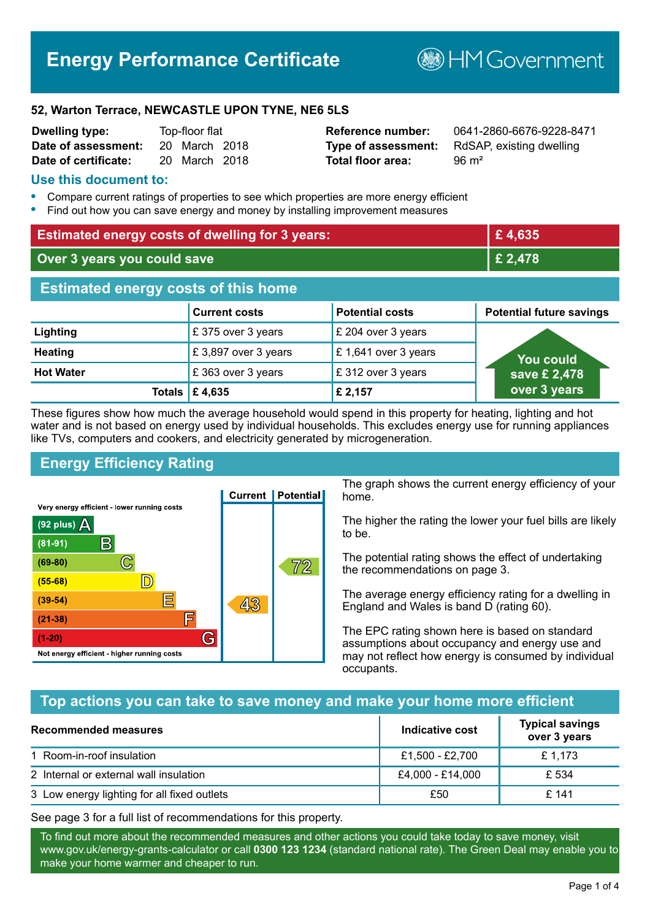## **Energy Performance Certificate**

**B**HM Government

#### **52, Warton Terrace, NEWCASTLE UPON TYNE, NE6 5LS**

| <b>Dwelling type:</b> | Top-floor flat |               |  |
|-----------------------|----------------|---------------|--|
| Date of assessment:   |                | 20 March 2018 |  |
| Date of certificate:  |                | 20 March 2018 |  |

# **Total floor area:** 96 m<sup>2</sup>

**Reference number:** 0641-2860-6676-9228-8471 **Type of assessment:** RdSAP, existing dwelling

#### **Use this document to:**

- **•** Compare current ratings of properties to see which properties are more energy efficient
- **•** Find out how you can save energy and money by installing improvement measures

| <b>Estimated energy costs of dwelling for 3 years:</b> |                           | £4,635                  |                                 |
|--------------------------------------------------------|---------------------------|-------------------------|---------------------------------|
| Over 3 years you could save                            |                           | £ 2,478                 |                                 |
| <b>Estimated energy costs of this home</b>             |                           |                         |                                 |
|                                                        | <b>Current costs</b>      | <b>Potential costs</b>  | <b>Potential future savings</b> |
| Lighting                                               | £375 over 3 years         | $\,$ £ 204 over 3 years |                                 |
| <b>Heating</b>                                         | £3,897 over 3 years       | £1,641 over 3 years     | You could                       |
| <b>Hot Water</b>                                       | £363 over 3 years         | £312 over 3 years       | save £ 2,478                    |
|                                                        | Totals $\mathsf{E}$ 4,635 | £ 2,157                 | over 3 years                    |

These figures show how much the average household would spend in this property for heating, lighting and hot water and is not based on energy used by individual households. This excludes energy use for running appliances like TVs, computers and cookers, and electricity generated by microgeneration.

#### **Energy Efficiency Rating**



The graph shows the current energy efficiency of your home.

The higher the rating the lower your fuel bills are likely to be.

The potential rating shows the effect of undertaking the recommendations on page 3.

The average energy efficiency rating for a dwelling in England and Wales is band D (rating 60).

The EPC rating shown here is based on standard assumptions about occupancy and energy use and may not reflect how energy is consumed by individual occupants.

#### **Top actions you can take to save money and make your home more efficient**

| <b>Recommended measures</b>                 | Indicative cost  | <b>Typical savings</b><br>over 3 years |
|---------------------------------------------|------------------|----------------------------------------|
| 1 Room-in-roof insulation                   | £1,500 - £2,700  | £ 1,173                                |
| 2 Internal or external wall insulation      | £4,000 - £14,000 | £ 534                                  |
| 3 Low energy lighting for all fixed outlets | £50              | £141                                   |

See page 3 for a full list of recommendations for this property.

To find out more about the recommended measures and other actions you could take today to save money, visit www.gov.uk/energy-grants-calculator or call **0300 123 1234** (standard national rate). The Green Deal may enable you to make your home warmer and cheaper to run.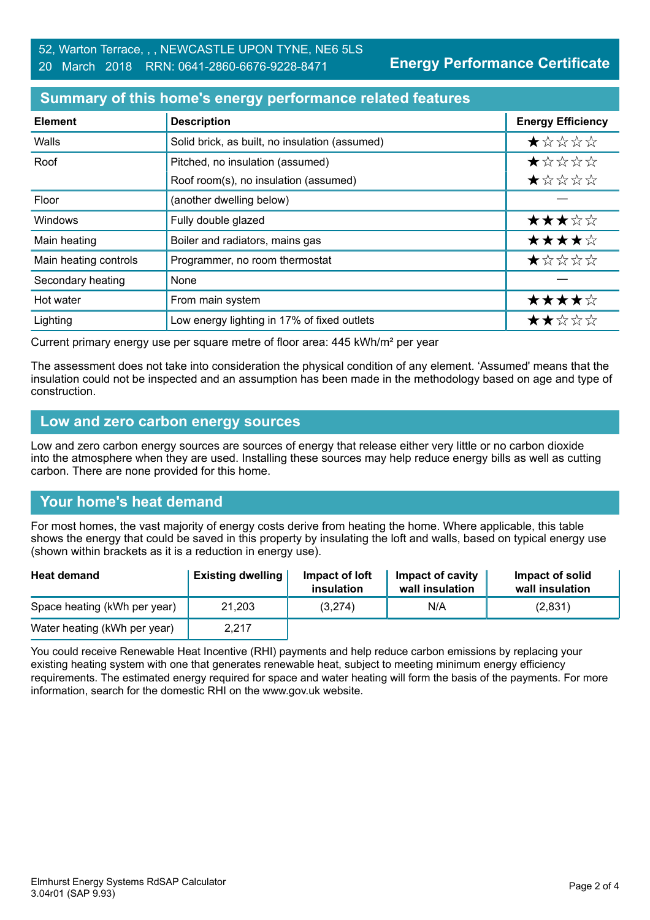#### **Summary of this home's energy performance related features**

| <b>Element</b>        | <b>Description</b>                             | <b>Energy Efficiency</b> |
|-----------------------|------------------------------------------------|--------------------------|
| Walls                 | Solid brick, as built, no insulation (assumed) | ★☆☆☆☆                    |
| Roof                  | Pitched, no insulation (assumed)               | *****                    |
|                       | Roof room(s), no insulation (assumed)          | ★☆☆☆☆                    |
| Floor                 | (another dwelling below)                       |                          |
| Windows               | Fully double glazed                            | ★★★☆☆                    |
| Main heating          | Boiler and radiators, mains gas                | ★★★★☆                    |
| Main heating controls | Programmer, no room thermostat                 | ★☆☆☆☆                    |
| Secondary heating     | None                                           |                          |
| Hot water             | From main system                               | ★★★★☆                    |
| Lighting              | Low energy lighting in 17% of fixed outlets    | ★★☆☆☆                    |

Current primary energy use per square metre of floor area: 445 kWh/m² per year

The assessment does not take into consideration the physical condition of any element. 'Assumed' means that the insulation could not be inspected and an assumption has been made in the methodology based on age and type of construction.

#### **Low and zero carbon energy sources**

Low and zero carbon energy sources are sources of energy that release either very little or no carbon dioxide into the atmosphere when they are used. Installing these sources may help reduce energy bills as well as cutting carbon. There are none provided for this home.

#### **Your home's heat demand**

For most homes, the vast majority of energy costs derive from heating the home. Where applicable, this table shows the energy that could be saved in this property by insulating the loft and walls, based on typical energy use (shown within brackets as it is a reduction in energy use).

| <b>Heat demand</b>           | <b>Existing dwelling</b> | Impact of loft<br>insulation | Impact of cavity<br>wall insulation | Impact of solid<br>wall insulation |
|------------------------------|--------------------------|------------------------------|-------------------------------------|------------------------------------|
| Space heating (kWh per year) | 21,203                   | (3,274)                      | N/A                                 | (2,831)                            |
| Water heating (kWh per year) | 2,217                    |                              |                                     |                                    |

You could receive Renewable Heat Incentive (RHI) payments and help reduce carbon emissions by replacing your existing heating system with one that generates renewable heat, subject to meeting minimum energy efficiency requirements. The estimated energy required for space and water heating will form the basis of the payments. For more information, search for the domestic RHI on the www.gov.uk website.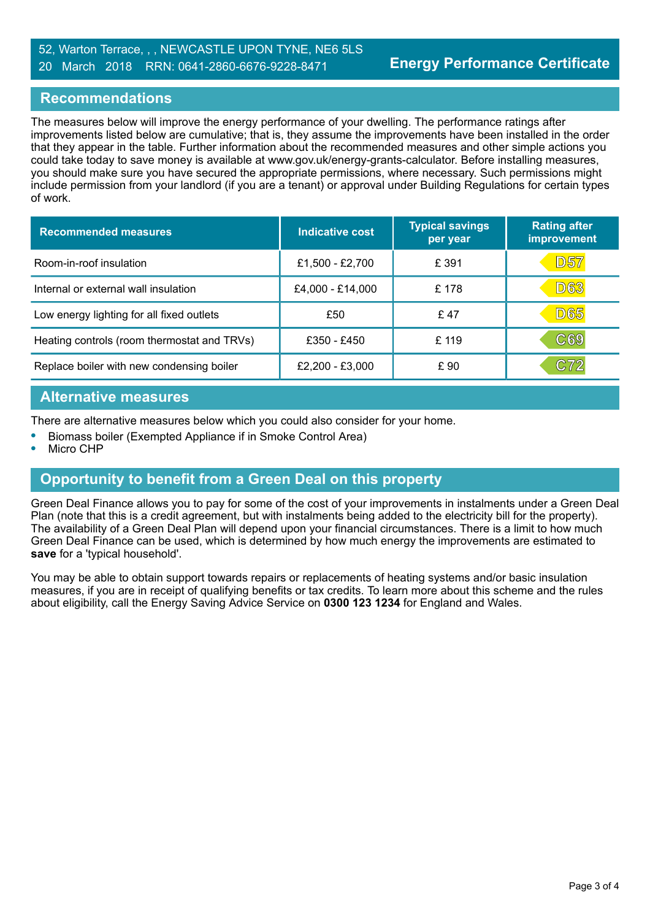#### 52, Warton Terrace, , , NEWCASTLE UPON TYNE, NE6 5LS 20 March 2018 RRN: 0641-2860-6676-9228-8471

#### **Recommendations**

The measures below will improve the energy performance of your dwelling. The performance ratings after improvements listed below are cumulative; that is, they assume the improvements have been installed in the order that they appear in the table. Further information about the recommended measures and other simple actions you could take today to save money is available at www.gov.uk/energy-grants-calculator. Before installing measures, you should make sure you have secured the appropriate permissions, where necessary. Such permissions might include permission from your landlord (if you are a tenant) or approval under Building Regulations for certain types of work.

| <b>Recommended measures</b>                 | Indicative cost  | <b>Typical savings</b><br>per year | <b>Rating after</b><br>improvement |
|---------------------------------------------|------------------|------------------------------------|------------------------------------|
| Room-in-roof insulation                     | £1,500 - £2,700  | £ 391                              | D57                                |
| Internal or external wall insulation        | £4,000 - £14,000 | £ 178                              | <b>D63</b>                         |
| Low energy lighting for all fixed outlets   | £50              | £47                                | <b>D65</b>                         |
| Heating controls (room thermostat and TRVs) | £350 - £450      | £ 119                              | $\mathbb{C}69$                     |
| Replace boiler with new condensing boiler   | £2,200 - £3,000  | £ 90                               | C72                                |

#### **Alternative measures**

There are alternative measures below which you could also consider for your home.

- **•** Biomass boiler (Exempted Appliance if in Smoke Control Area)
- **•** Micro CHP

### **Opportunity to benefit from a Green Deal on this property**

Green Deal Finance allows you to pay for some of the cost of your improvements in instalments under a Green Deal Plan (note that this is a credit agreement, but with instalments being added to the electricity bill for the property). The availability of a Green Deal Plan will depend upon your financial circumstances. There is a limit to how much Green Deal Finance can be used, which is determined by how much energy the improvements are estimated to **save** for a 'typical household'.

You may be able to obtain support towards repairs or replacements of heating systems and/or basic insulation measures, if you are in receipt of qualifying benefits or tax credits. To learn more about this scheme and the rules about eligibility, call the Energy Saving Advice Service on **0300 123 1234** for England and Wales.